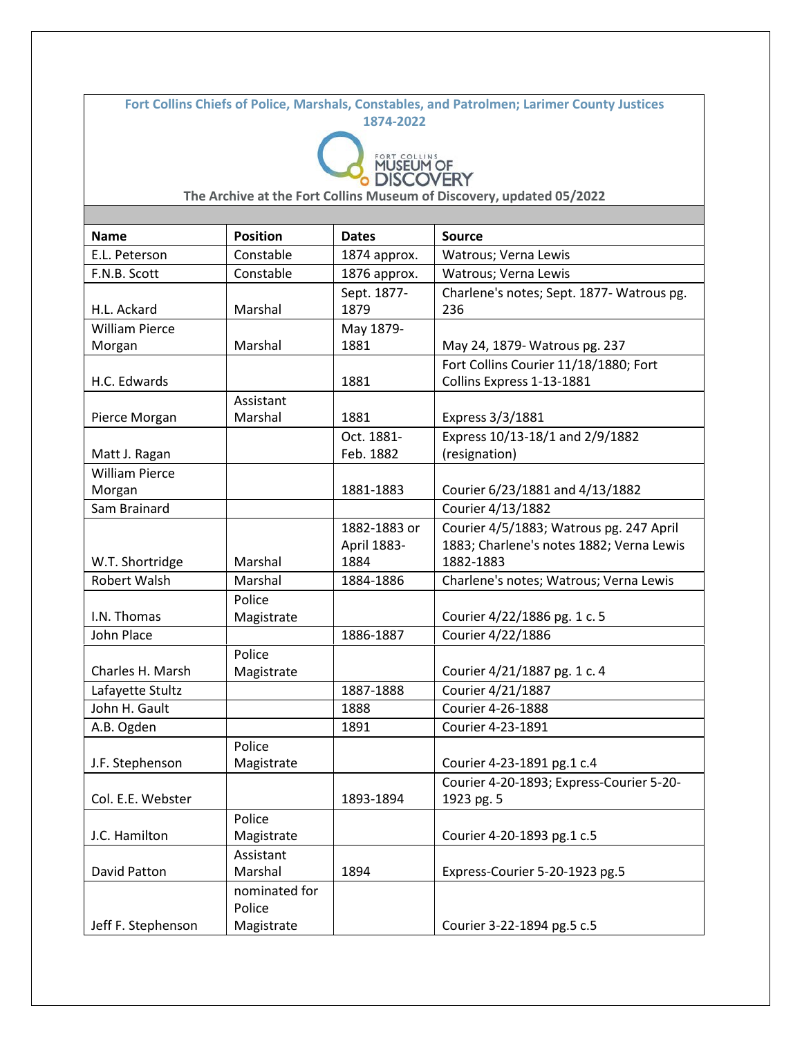**Fort Collins Chiefs of Police, Marshals, Constables, and Patrolmen; Larimer County Justices 1874-2022**



| <b>Name</b>           | <b>Position</b> | <b>Dates</b>        | <b>Source</b>                                    |
|-----------------------|-----------------|---------------------|--------------------------------------------------|
| E.L. Peterson         | Constable       | 1874 approx.        | Watrous; Verna Lewis                             |
| F.N.B. Scott          | Constable       | 1876 approx.        | Watrous; Verna Lewis                             |
| H.L. Ackard           | Marshal         | Sept. 1877-<br>1879 | Charlene's notes; Sept. 1877- Watrous pg.<br>236 |
| <b>William Pierce</b> |                 | May 1879-           |                                                  |
| Morgan                | Marshal         | 1881                | May 24, 1879- Watrous pg. 237                    |
|                       |                 |                     | Fort Collins Courier 11/18/1880; Fort            |
| H.C. Edwards          |                 | 1881                | Collins Express 1-13-1881                        |
|                       | Assistant       |                     |                                                  |
| Pierce Morgan         | Marshal         | 1881                | Express 3/3/1881                                 |
|                       |                 | Oct. 1881-          | Express 10/13-18/1 and 2/9/1882                  |
| Matt J. Ragan         |                 | Feb. 1882           | (resignation)                                    |
| <b>William Pierce</b> |                 |                     |                                                  |
| Morgan                |                 | 1881-1883           | Courier 6/23/1881 and 4/13/1882                  |
| Sam Brainard          |                 |                     | Courier 4/13/1882                                |
|                       |                 | 1882-1883 or        | Courier 4/5/1883; Watrous pg. 247 April          |
|                       |                 | April 1883-         | 1883; Charlene's notes 1882; Verna Lewis         |
| W.T. Shortridge       | Marshal         | 1884                | 1882-1883                                        |
| Robert Walsh          | Marshal         | 1884-1886           | Charlene's notes; Watrous; Verna Lewis           |
|                       | Police          |                     |                                                  |
| I.N. Thomas           | Magistrate      |                     | Courier 4/22/1886 pg. 1 c. 5                     |
| John Place            |                 | 1886-1887           | Courier 4/22/1886                                |
|                       | Police          |                     |                                                  |
| Charles H. Marsh      | Magistrate      |                     | Courier 4/21/1887 pg. 1 c. 4                     |
| Lafayette Stultz      |                 | 1887-1888           | Courier 4/21/1887                                |
| John H. Gault         |                 | 1888                | Courier 4-26-1888                                |
| A.B. Ogden            |                 | 1891                | Courier 4-23-1891                                |
|                       | Police          |                     |                                                  |
| J.F. Stephenson       | Magistrate      |                     | Courier 4-23-1891 pg.1 c.4                       |
|                       |                 |                     | Courier 4-20-1893; Express-Courier 5-20-         |
| Col. E.E. Webster     |                 | 1893-1894           | 1923 pg. 5                                       |
|                       | Police          |                     |                                                  |
| J.C. Hamilton         | Magistrate      |                     | Courier 4-20-1893 pg.1 c.5                       |
|                       | Assistant       |                     |                                                  |
| David Patton          | Marshal         | 1894                | Express-Courier 5-20-1923 pg.5                   |
|                       | nominated for   |                     |                                                  |
|                       | Police          |                     |                                                  |
| Jeff F. Stephenson    | Magistrate      |                     | Courier 3-22-1894 pg.5 c.5                       |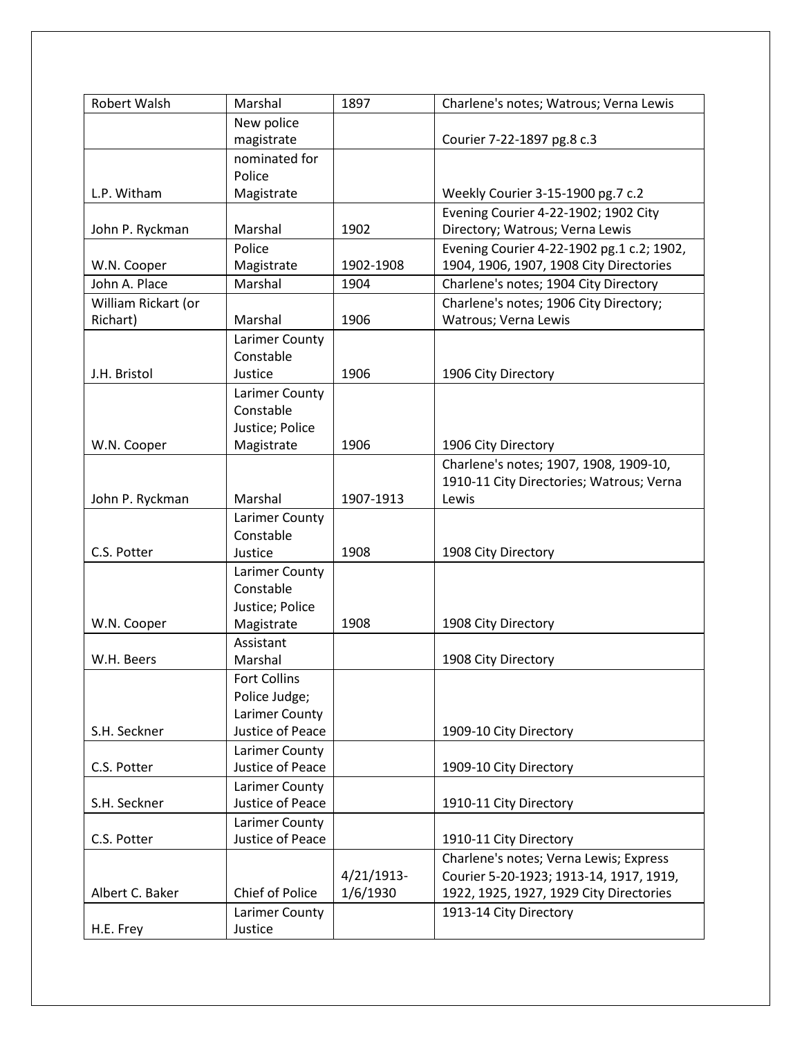| Robert Walsh        | Marshal                       | 1897          | Charlene's notes; Watrous; Verna Lewis                        |
|---------------------|-------------------------------|---------------|---------------------------------------------------------------|
|                     | New police                    |               |                                                               |
|                     | magistrate                    |               | Courier 7-22-1897 pg.8 c.3                                    |
|                     | nominated for                 |               |                                                               |
|                     | Police                        |               |                                                               |
| L.P. Witham         | Magistrate                    |               | Weekly Courier 3-15-1900 pg.7 c.2                             |
|                     |                               |               | Evening Courier 4-22-1902; 1902 City                          |
| John P. Ryckman     | Marshal                       | 1902          | Directory; Watrous; Verna Lewis                               |
|                     | Police                        |               | Evening Courier 4-22-1902 pg.1 c.2; 1902,                     |
| W.N. Cooper         | Magistrate                    | 1902-1908     | 1904, 1906, 1907, 1908 City Directories                       |
| John A. Place       | Marshal                       | 1904          | Charlene's notes; 1904 City Directory                         |
| William Rickart (or |                               |               | Charlene's notes; 1906 City Directory;                        |
| Richart)            | Marshal                       | 1906          | Watrous; Verna Lewis                                          |
|                     | Larimer County                |               |                                                               |
|                     | Constable                     |               |                                                               |
| J.H. Bristol        | Justice                       | 1906          | 1906 City Directory                                           |
|                     | Larimer County                |               |                                                               |
|                     | Constable                     |               |                                                               |
| W.N. Cooper         | Justice; Police<br>Magistrate | 1906          |                                                               |
|                     |                               |               | 1906 City Directory<br>Charlene's notes; 1907, 1908, 1909-10, |
|                     |                               |               | 1910-11 City Directories; Watrous; Verna                      |
| John P. Ryckman     | Marshal                       | 1907-1913     | Lewis                                                         |
|                     | Larimer County                |               |                                                               |
|                     | Constable                     |               |                                                               |
| C.S. Potter         | Justice                       | 1908          | 1908 City Directory                                           |
|                     | Larimer County                |               |                                                               |
|                     | Constable                     |               |                                                               |
|                     | Justice; Police               |               |                                                               |
| W.N. Cooper         | Magistrate                    | 1908          | 1908 City Directory                                           |
|                     | Assistant                     |               |                                                               |
| W.H. Beers          | Marshal                       |               | 1908 City Directory                                           |
|                     | <b>Fort Collins</b>           |               |                                                               |
|                     | Police Judge;                 |               |                                                               |
|                     | Larimer County                |               |                                                               |
| S.H. Seckner        | Justice of Peace              |               | 1909-10 City Directory                                        |
|                     | Larimer County                |               |                                                               |
| C.S. Potter         | Justice of Peace              |               | 1909-10 City Directory                                        |
|                     | Larimer County                |               |                                                               |
| S.H. Seckner        | Justice of Peace              |               | 1910-11 City Directory                                        |
|                     | Larimer County                |               |                                                               |
| C.S. Potter         | Justice of Peace              |               | 1910-11 City Directory                                        |
|                     |                               |               | Charlene's notes; Verna Lewis; Express                        |
|                     |                               | $4/21/1913$ - | Courier 5-20-1923; 1913-14, 1917, 1919,                       |
| Albert C. Baker     | Chief of Police               | 1/6/1930      | 1922, 1925, 1927, 1929 City Directories                       |
|                     | Larimer County                |               | 1913-14 City Directory                                        |
| H.E. Frey           | Justice                       |               |                                                               |